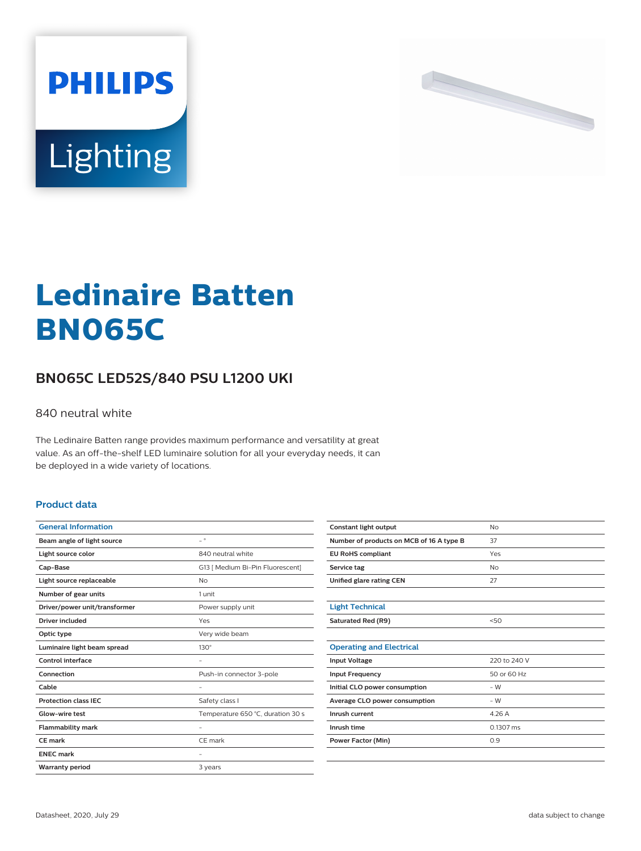



# **Ledinaire Batten BN065C**

## **BN065C LED52S/840 PSU L1200 UKI**

#### 840 neutral white

The Ledinaire Batten range provides maximum performance and versatility at great value. As an off-the-shelf LED luminaire solution for all your everyday needs, it can be deployed in a wide variety of locations.

#### **Product data**

| <b>General Information</b>    |                                   |
|-------------------------------|-----------------------------------|
| Beam angle of light source    | $\overline{a}$                    |
| Light source color            | 840 neutral white                 |
| Cap-Base                      | G13   Medium Bi-Pin Fluorescent]  |
| Light source replaceable      | No                                |
| Number of gear units          | 1 unit                            |
| Driver/power unit/transformer | Power supply unit                 |
| Driver included               | Yes                               |
| Optic type                    | Very wide beam                    |
| Luminaire light beam spread   | $130^\circ$                       |
| Control interface             |                                   |
| Connection                    | Push-in connector 3-pole          |
| Cable                         |                                   |
| <b>Protection class IEC</b>   | Safety class I                    |
| Glow-wire test                | Temperature 650 °C, duration 30 s |
| <b>Flammability mark</b>      |                                   |
| CE mark                       | CE mark                           |
| <b>ENEC mark</b>              |                                   |
| <b>Warranty period</b>        | 3 years                           |

| Constant light output                    | <b>No</b>           |
|------------------------------------------|---------------------|
| Number of products on MCB of 16 A type B | 37                  |
| <b>EU RoHS compliant</b>                 | Yes                 |
| Service tag                              | <b>No</b>           |
| Unified glare rating CEN                 | 27                  |
|                                          |                     |
| <b>Light Technical</b>                   |                     |
| Saturated Red (R9)                       | 50                  |
|                                          |                     |
| <b>Operating and Electrical</b>          |                     |
| <b>Input Voltage</b>                     | 220 to 240 V        |
| <b>Input Frequency</b>                   | 50 or 60 Hz         |
| Initial CLO power consumption            | $-W$                |
| Average CLO power consumption            | $-W$                |
| Inrush current                           | 4.26 A              |
| Inrush time                              | $0.1307 \text{ ms}$ |
| <b>Power Factor (Min)</b>                | 0.9                 |
|                                          |                     |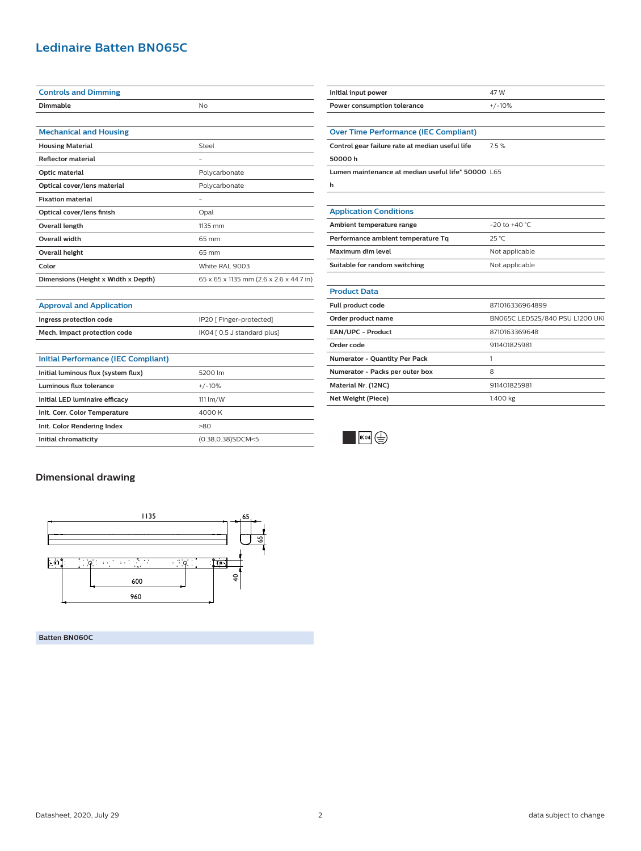### **Ledinaire Batten BN065C**

| <b>Controls and Dimming</b>         |                                         |
|-------------------------------------|-----------------------------------------|
| Dimmable                            | No                                      |
|                                     |                                         |
| <b>Mechanical and Housing</b>       |                                         |
| <b>Housing Material</b>             | Steel                                   |
| <b>Reflector material</b>           | -                                       |
| Optic material                      | Polycarbonate                           |
| Optical cover/lens material         | Polycarbonate                           |
| <b>Fixation material</b>            | -                                       |
| Optical cover/lens finish           | Opal                                    |
| Overall length                      | 1135 mm                                 |
| <b>Overall width</b>                | 65 mm                                   |
| Overall height                      | 65 mm                                   |
| Color                               | White RAL 9003                          |
| Dimensions (Height x Width x Depth) | 65 x 65 x 1135 mm (2.6 x 2.6 x 44.7 in) |

| <b>Approval and Application</b> |  |
|---------------------------------|--|

| Ingress protection code      | IP20 [ Finger-protected]    |
|------------------------------|-----------------------------|
| Mech. impact protection code | IK04 [ 0.5 J standard plus] |

| Initial Performance (IEC Compliant) |                    |
|-------------------------------------|--------------------|
| Initial luminous flux (system flux) | 5200 lm            |
| Luminous flux tolerance             | $+/-10%$           |
| Initial LED luminaire efficacy      | $111 \text{ lm/W}$ |
| Init. Corr. Color Temperature       | 4000 K             |
| Init. Color Rendering Index         | >80                |
| Initial chromaticity                | (0.38,0.38)SDCM<5  |

| Initial input power                                | 47 W                           |
|----------------------------------------------------|--------------------------------|
| Power consumption tolerance                        | $+/-10%$                       |
|                                                    |                                |
| <b>Over Time Performance (IEC Compliant)</b>       |                                |
| Control gear failure rate at median useful life    | 7.5%                           |
| 50000h                                             |                                |
| Lumen maintenance at median useful life* 50000 L65 |                                |
| h                                                  |                                |
|                                                    |                                |
| <b>Application Conditions</b>                      |                                |
| Ambient temperature range                          | $-20$ to $+40$ °C              |
| Performance ambient temperature Tq                 | 25 °C                          |
| Maximum dim level                                  | Not applicable                 |
| Suitable for random switching                      | Not applicable                 |
|                                                    |                                |
| <b>Product Data</b>                                |                                |
| Full product code                                  | 871016336964899                |
| Order product name                                 | BN065C LED52S/840 PSU L1200 UK |
| EAN/UPC - Product                                  | 8710163369648                  |
| Order code                                         | 911401825981                   |
| Numerator - Quantity Per Pack                      | 1                              |
| Numerator - Packs per outer box                    | 8                              |
| Material Nr. (12NC)                                | 911401825981                   |
| Net Weight (Piece)                                 | 1.400 kg                       |
|                                                    |                                |



#### **Dimensional drawing**



**Batten BN060C**

Datasheet, 2020, July 29 data subject to change